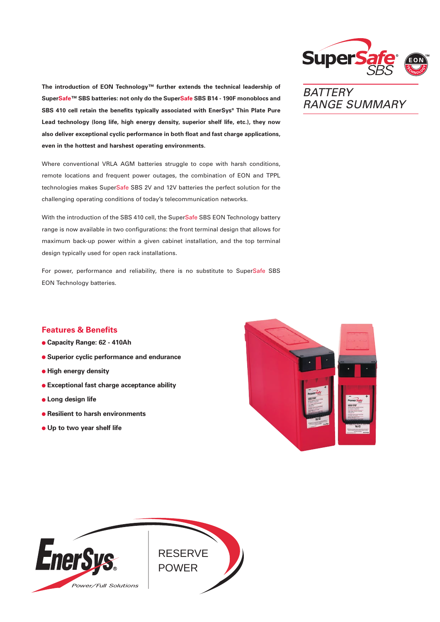

RANGE SUMMARY

**BATTERY** 

**The introduction of EON Technology™ further extends the technical leadership of SuperSafe™ SBS batteries: not only do the SuperSafe SBS B14 - 190F monoblocs and SBS 410 cell retain the benefits typically associated with EnerSys® Thin Plate Pure Lead technology (long life, high energy density, superior shelf life, etc.), they now also deliver exceptional cyclic performance in both float and fast charge applications, even in the hottest and harshest operating environments.**

Where conventional VRLA AGM batteries struggle to cope with harsh conditions, remote locations and frequent power outages, the combination of EON and TPPL technologies makes SuperSafe SBS 2V and 12V batteries the perfect solution for the challenging operating conditions of today's telecommunication networks.

With the introduction of the SBS 410 cell, the SuperSafe SBS EON Technology battery range is now available in two configurations: the front terminal design that allows for maximum back-up power within a given cabinet installation, and the top terminal design typically used for open rack installations.

For power, performance and reliability, there is no substitute to SuperSafe SBS EON Technology batteries.

## **Features & Benefits**

- **Capacity Range: 62 410Ah**
- **Superior cyclic performance and endurance**
- **High energy density**
- **Exceptional fast charge acceptance ability**
- **Long design life**
- **Resilient to harsh environments**
- **Up to two year shelf life**